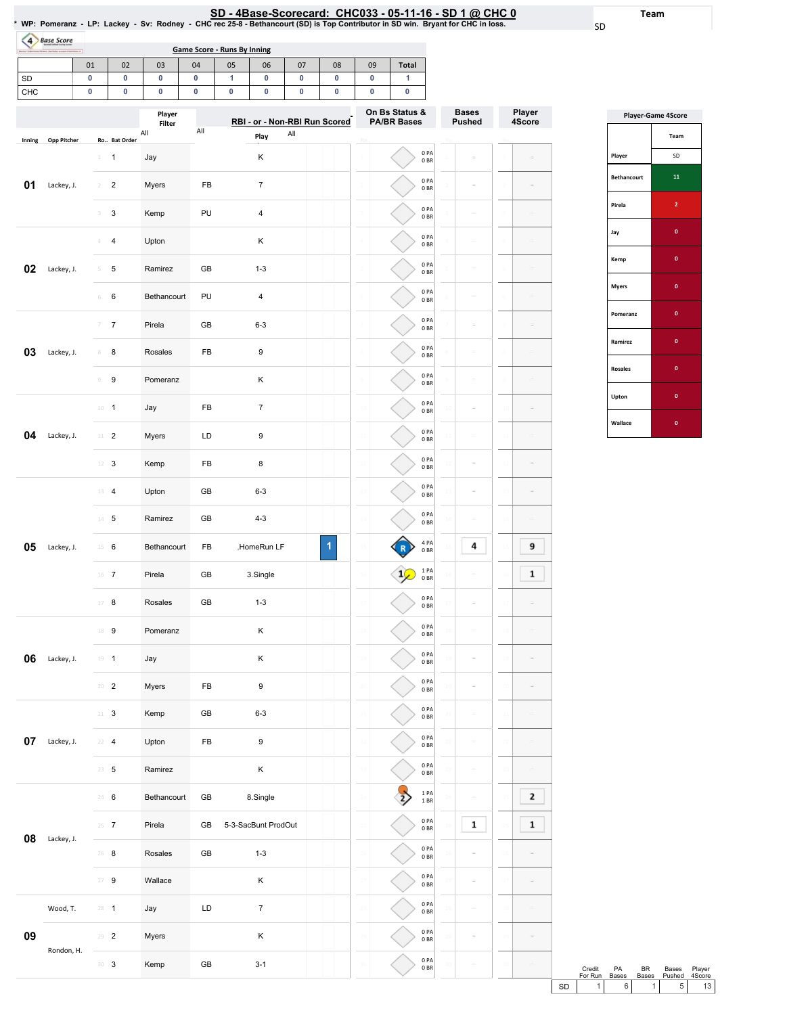01 | 02 | 03 | 04 | 05 | 06 | 07 | 08 | 09 | Total |

Game Score - Runs By Inning

4 Base Score

| SD     |                    | 0 |                               | 0                         | 0                       | 0   | 1 | 0                   | 0                                               | 0         | 0              | 1                                    |                                      |                               |                  |
|--------|--------------------|---|-------------------------------|---------------------------|-------------------------|-----|---|---------------------|-------------------------------------------------|-----------|----------------|--------------------------------------|--------------------------------------|-------------------------------|------------------|
| CHC    |                    | 0 |                               | 0                         | $\pmb{0}$               | 0   | 0 | 0                   | $\pmb{0}$                                       | $\pmb{0}$ | $\pmb{0}$      | 0                                    |                                      |                               |                  |
|        |                    |   |                               |                           | Player<br>Filter<br>All | All |   |                     | RBI - or - Non-RBI Run Scored<br>$\mathsf{All}$ |           |                | On Bs Status &<br><b>PA/BR Bases</b> |                                      | <b>Bases</b><br><b>Pushed</b> | Player<br>4Score |
| Inning | <b>Opp Pitcher</b> |   |                               | Ro Bat Order              |                         |     |   | Play                |                                                 |           |                |                                      |                                      |                               |                  |
|        |                    |   | $\perp$                       | $\mathbf{1}$              | Jay                     |     |   | Κ                   |                                                 |           |                |                                      | 0PA<br>0BR                           |                               |                  |
| 01     | Lackey, J.         |   | $\overline{2}$                | $\overline{\mathbf{c}}$   | Myers                   | FB  |   | $\overline{7}$      |                                                 |           |                |                                      | 0PA<br>0 <sub>BR</sub>               |                               |                  |
|        |                    |   | 3                             | $\sqrt{3}$                | Kemp                    | PU  |   | $\sqrt{4}$          |                                                 |           |                |                                      | 0PA<br>0 <sub>BR</sub>               |                               |                  |
|        |                    |   | Δ                             | $\overline{4}$            | Upton                   |     |   | Κ                   |                                                 |           |                |                                      | 0PA<br>0 <sub>BR</sub>               |                               |                  |
| 02     | Lackey, J.         |   | 5                             | 5                         | Ramirez                 | GB  |   | $1 - 3$             |                                                 |           |                |                                      | 0PA<br>0 <sub>BR</sub>               |                               |                  |
|        |                    |   | 6                             | $\,6\,$                   | Bethancourt             | PU  |   | $\overline{4}$      |                                                 |           |                |                                      | 0PA<br>0 <sub>BR</sub>               | Ġ,                            | $\sim$           |
|        |                    |   | $\overline{\gamma}$           | $\boldsymbol{7}$          | Pirela                  | GB  |   | $6 - 3$             |                                                 |           |                |                                      | 0PA<br>0 <sub>BR</sub>               |                               |                  |
| 03     | Lackey, J.         |   | 8                             | 8                         | Rosales                 | FB  |   | 9                   |                                                 |           |                |                                      | 0PA<br>0BR                           |                               |                  |
|        |                    |   | $\circledcirc$                | $\boldsymbol{9}$          | Pomeranz                |     |   | Κ                   |                                                 |           |                |                                      | 0PA<br>0B                            |                               |                  |
|        |                    |   | $10 - 1$                      |                           | Jay                     | FB  |   | $\overline{7}$      |                                                 |           | $\overline{1}$ |                                      | 0PA<br>0 <sub>BR</sub>               |                               | ÷                |
| 04     | Lackey, J.         |   | $11 -$                        | $\overline{2}$            | Myers                   | LD  |   | 9                   |                                                 |           |                |                                      | 0PA<br>0 <sub>BR</sub>               |                               |                  |
|        |                    |   | 12                            | $\ensuremath{\mathsf{3}}$ | Kemp                    | FB  |   | 8                   |                                                 |           |                |                                      | 0PA<br>0 <sub>BR</sub>               |                               |                  |
|        |                    |   | 13                            | $\overline{4}$            | Upton                   | GB  |   | $6 - 3$             |                                                 |           |                |                                      | 0PA<br>0BR                           |                               |                  |
|        |                    |   | $14 -$                        | 5                         | Ramirez                 | GB  |   | $4 - 3$             |                                                 |           |                |                                      | 0PA<br>0BR                           |                               |                  |
| 05     | Lackey, J.         |   | $15 -$                        | 6                         | Bethancourt             | FB  |   | .HomeRun LF         |                                                 | 1         |                |                                      | 4 PA<br>0 <sub>BR</sub>              | 4                             | 9                |
|        |                    |   | $16$ 7                        |                           | Pirela                  | GB  |   | 3.Single            |                                                 |           | 16             |                                      | 1PA<br>0 <sub>BR</sub>               |                               | $\mathbf 1$      |
|        |                    |   | 17                            | 8                         | Rosales                 | GB  |   | $1 - 3$             |                                                 |           | 11             |                                      | 0PA<br>0BR                           |                               |                  |
|        |                    |   | 18                            | 9                         | Pomeranz                |     |   | Κ                   |                                                 |           |                |                                      | 0PA<br>0 <sub>BR</sub>               |                               |                  |
| 06     | Lackey, J.         |   | $19 - 1$                      |                           | Jay                     |     |   | Κ                   |                                                 |           |                |                                      | 0PA<br>0 <sub>BR</sub>               |                               |                  |
|        |                    |   | $20 - 2$                      |                           | Myers                   | FB  |   | $\boldsymbol{9}$    |                                                 |           | 20             |                                      | 0PA<br>0BR                           |                               |                  |
|        |                    |   | $21 - 3$                      |                           | Kemp                    | GB  |   | $6 - 3$             |                                                 |           | 21             |                                      | 0PA<br>$0\;\ensuremath{\mathsf{BR}}$ |                               |                  |
| 07     | Lackey, J.         |   | 22                            | $\overline{4}$            | Upton                   | FB  |   | $\boldsymbol{9}$    |                                                 |           |                |                                      | 0PA<br>0B                            |                               |                  |
|        |                    |   | $23 - 5$                      |                           | Ramirez                 |     |   | Κ                   |                                                 |           |                |                                      | 0PA<br>0BR                           |                               |                  |
|        |                    |   | 24 6                          |                           | Bethancourt             | GB  |   | 8.Single            |                                                 |           |                |                                      | 1PA<br>1BR                           |                               | 2                |
|        |                    |   | $25 - 7$                      |                           | Pirela                  | GB  |   | 5-3-SacBunt ProdOut |                                                 |           | 25             |                                      | 0PA<br>0BR                           | $\mathbf 1$                   | $\mathbf 1$      |
| 08     | Lackey, J.         |   | $26 - 8$                      |                           | Rosales                 | GB  |   | $1 - 3$             |                                                 |           | 26             |                                      | 0PA<br>0B                            |                               |                  |
|        |                    |   | $27 - 9$                      |                           | Wallace                 |     |   | Κ                   |                                                 |           |                |                                      | 0PA<br>0B                            |                               |                  |
|        | Wood, T.           |   | $28 - 1$                      |                           | Jay                     | LD  |   | $\boldsymbol{7}$    |                                                 |           |                |                                      | 0PA<br>0 <sub>BR</sub>               |                               |                  |
| 09     |                    |   | $29 - 2$                      |                           | Myers                   |     |   | Κ                   |                                                 |           | 29             |                                      | 0PA<br>0B                            |                               |                  |
|        | Rondon, H.         |   | $\mathbb{B}^0$ – $\mathbf{3}$ |                           | Kemp                    | GB  |   | $3 - 1$             |                                                 |           | 30             |                                      | 0PA<br>0BR                           |                               |                  |

| <b>Player-Game 4Score</b> |                |  |  |  |  |  |  |  |
|---------------------------|----------------|--|--|--|--|--|--|--|
|                           | Team           |  |  |  |  |  |  |  |
| Player                    | SD             |  |  |  |  |  |  |  |
| <b>Bethancourt</b>        | 11             |  |  |  |  |  |  |  |
| Pirela                    | $\overline{2}$ |  |  |  |  |  |  |  |
| Jay                       | $\mathbf{0}$   |  |  |  |  |  |  |  |
| Kemp                      | $\mathbf{0}$   |  |  |  |  |  |  |  |
| <b>Myers</b>              | $\mathbf{0}$   |  |  |  |  |  |  |  |
| Pomeranz                  | $\bf{0}$       |  |  |  |  |  |  |  |
| Ramirez                   | $\mathbf{0}$   |  |  |  |  |  |  |  |
| <b>Rosales</b>            | $\mathbf{0}$   |  |  |  |  |  |  |  |
| Upton                     | $\mathbf{0}$   |  |  |  |  |  |  |  |
| Wallace                   | 0              |  |  |  |  |  |  |  |

Credit ForRun PA Bases BR Bases Bases Pushed Credit PA BR Bases Player<br>
For Run Bases Bases Pushed 4Score<br>
SD 1 6 1 5 13

Team

SD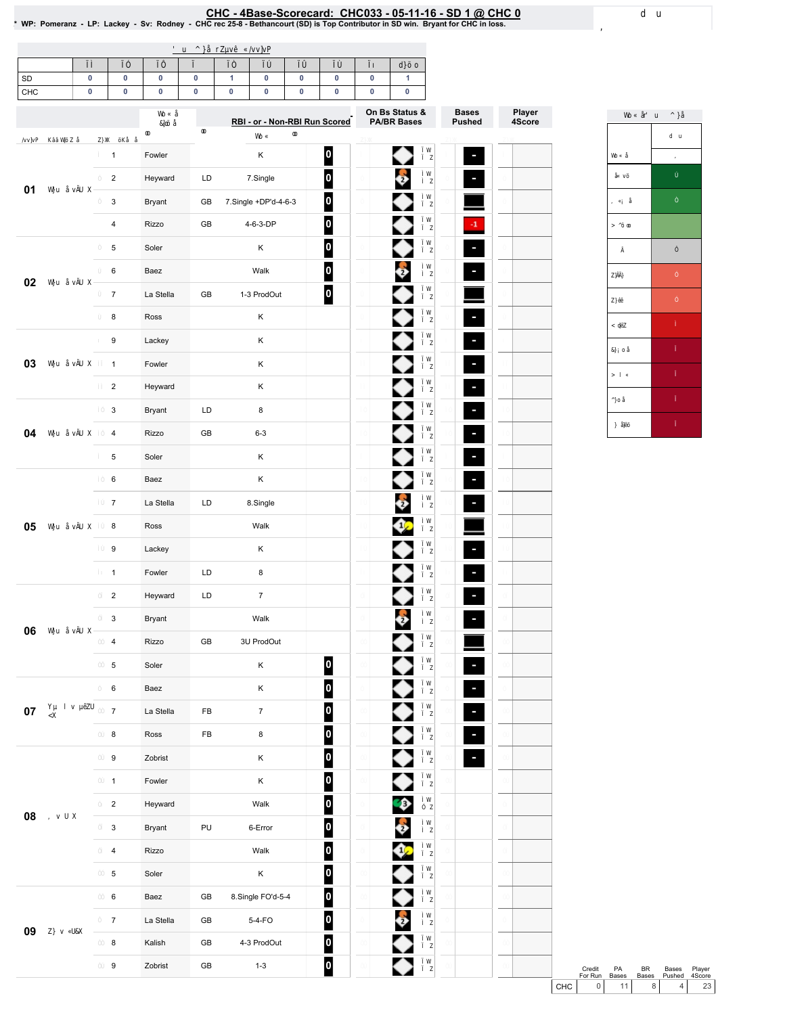<u>CHC - 4Base-Scorecard: CHC033 - 05-11-16 - SD 1 @ CHC 0 .</u><br>WP: Pomeranz - LP: Lackey - Sv: Rodney - CHC rec 25-8 - Bethancourt (SD) is Top Contributor in SD win. Bryant for CHC in loss. \*

| SD     | 0         | 0                       | 0         | 0          | 1         | 0                             | 0         | 0                       | 0         | 1                                    |                               |                  |
|--------|-----------|-------------------------|-----------|------------|-----------|-------------------------------|-----------|-------------------------|-----------|--------------------------------------|-------------------------------|------------------|
| CHC    | $\pmb{0}$ | $\pmb{0}$               | $\pmb{0}$ | $\pmb{0}$  | $\pmb{0}$ | $\pmb{0}$                     | $\pmb{0}$ | 0                       | $\pmb{0}$ | 0                                    |                               |                  |
|        |           |                         |           |            |           | RBI - or - Non-RBI Run Scored |           |                         |           | On Bs Status &<br><b>PA/BR Bases</b> | <b>Bases</b><br><b>Pushed</b> | Player<br>4Score |
|        |           |                         |           |            |           |                               |           |                         |           |                                      |                               |                  |
|        |           | $\mathbf{1}$            | Fowler    |            |           | Κ                             |           | $\boldsymbol{0}$        |           |                                      | ۹                             |                  |
| 01     |           | $\overline{c}$          | Heyward   | LD         |           | 7.Single                      |           | $\overline{\mathbf{0}}$ |           | Ŷ                                    |                               |                  |
|        |           | 3                       | Bryant    | GB         |           | 7.Single +DP'd-4-6-3          |           | $\overline{\mathbf{0}}$ |           |                                      |                               |                  |
|        |           | $\overline{\mathbf{4}}$ | Rizzo     | GB         |           | 4-6-3-DP                      |           | $\overline{\mathbf{0}}$ |           |                                      | $\cdot 1$                     |                  |
|        |           | 5                       | Soler     |            |           | Κ                             |           | $\boldsymbol{0}$        |           |                                      | F                             |                  |
| 02     |           | 6                       | Baez      |            |           | Walk                          |           | $\overline{\mathbf{0}}$ |           | Ş                                    | F                             |                  |
|        |           | $\overline{7}$          | La Stella | GB         |           | 1-3 ProdOut                   |           | $\overline{\mathbf{0}}$ |           |                                      |                               |                  |
|        |           | 8                       | Ross      |            |           | Κ                             |           |                         |           |                                      | F                             |                  |
|        |           | 9                       | Lackey    |            |           | Κ                             |           |                         |           |                                      | F                             |                  |
| 03     |           | $\mathbf{1}$            | Fowler    |            |           | Κ                             |           |                         |           |                                      | F                             |                  |
|        |           | $\overline{c}$          | Heyward   |            |           | Κ                             |           |                         |           |                                      |                               |                  |
|        |           | 3                       | Bryant    | LD         |           | 8                             |           |                         |           |                                      | F                             |                  |
| 04     |           | $\overline{\mathbf{4}}$ | Rizzo     | GB         |           | $6 - 3$                       |           |                         |           |                                      | F                             |                  |
|        |           | 5                       | Soler     |            |           | Κ                             |           |                         |           |                                      | F                             |                  |
|        |           | 6                       | Baez      |            |           | Κ                             |           |                         |           |                                      | $\blacksquare$                |                  |
|        |           | $\overline{7}$          | La Stella | LD         |           | 8.Single                      |           |                         |           | 8                                    | $\overline{\phantom{a}}$      |                  |
| 05     |           | 8                       | Ross      |            |           | Walk                          |           |                         |           |                                      |                               |                  |
|        |           | 9                       | Lackey    |            |           | Κ                             |           |                         |           |                                      | $\blacksquare$                |                  |
|        |           | $\mathbf{1}$            | Fowler    | LD         |           | 8                             |           |                         |           |                                      | F                             |                  |
|        |           | $\overline{2}$          | Heyward   | LD         |           | $\overline{7}$                |           |                         |           |                                      | F                             |                  |
|        |           |                         |           |            |           |                               |           |                         |           | $\frac{1}{2}$                        |                               |                  |
| 06     |           | 3                       | Bryant    |            |           | Walk                          |           |                         |           |                                      |                               |                  |
|        |           | 4                       | Rizzo     | GB         |           | 3U ProdOut                    |           |                         |           |                                      |                               |                  |
|        |           | 5                       | Soler     |            |           | Κ                             |           | 0                       |           |                                      | Ξ                             |                  |
|        |           | $\,6\,$                 | Baez      |            |           | Κ                             |           | $\vert$ o $\vert$       |           |                                      |                               |                  |
| $07\,$ |           | $\overline{7}$          | La Stella | FB         |           | $\boldsymbol{7}$              |           | $\vert$ 0 $\vert$       |           |                                      | $\overline{\phantom{a}}$      |                  |
|        |           | 8                       | Ross      | FB         |           | $\bf 8$                       |           | $\vert$ o $\vert$       |           |                                      |                               |                  |
|        |           | $\boldsymbol{9}$        | Zobrist   |            |           | Κ                             |           | $\vert$ 0               |           |                                      |                               |                  |
|        |           | $\mathbf{1}$            | Fowler    |            |           | Κ                             |           | $\vert$ 0               |           |                                      |                               |                  |
| 08     |           | $\overline{2}$          | Heyward   |            |           | Walk                          |           | $\overline{\mathbf{0}}$ |           | $\bullet$                            |                               |                  |
|        |           | $\mathbf{3}$            | Bryant    | PU         |           | 6-Error                       |           | $\overline{\mathbf{0}}$ |           | Ş                                    |                               |                  |
|        |           | $\overline{\mathbf{4}}$ | Rizzo     |            |           | Walk                          |           | $\overline{\mathbf{0}}$ |           | O.                                   |                               |                  |
|        |           | $5\phantom{.0}$         | Soler     |            |           | Κ                             |           | $\boxed{0}$             |           |                                      |                               |                  |
|        |           | $\,6\,$                 | Baez      | GB         |           | 8.Single FO'd-5-4             |           | $\overline{\mathbf{0}}$ |           | ◆                                    |                               |                  |
|        |           | $\overline{7}$          | La Stella | ${\sf GB}$ |           | 5-4-FO                        |           | $\overline{\mathbf{0}}$ |           | $\clubsuit$                          |                               |                  |
| 09     |           | 8                       | Kalish    | GB         |           | 4-3 ProdOut                   |           | $\overline{\mathbf{0}}$ |           | ♠                                    |                               |                  |
|        |           | $\boldsymbol{9}$        | Zobrist   | ${\sf GB}$ |           | $1 - 3$                       |           | $\overline{\mathbf{0}}$ |           | ◆                                    |                               |                  |
|        |           |                         |           |            |           |                               |           |                         |           |                                      |                               |                  |



Credit PA BR Bases Player<br>
For Run Bases Bases Pushed 4Score<br>
CHC 0 11 8 4 23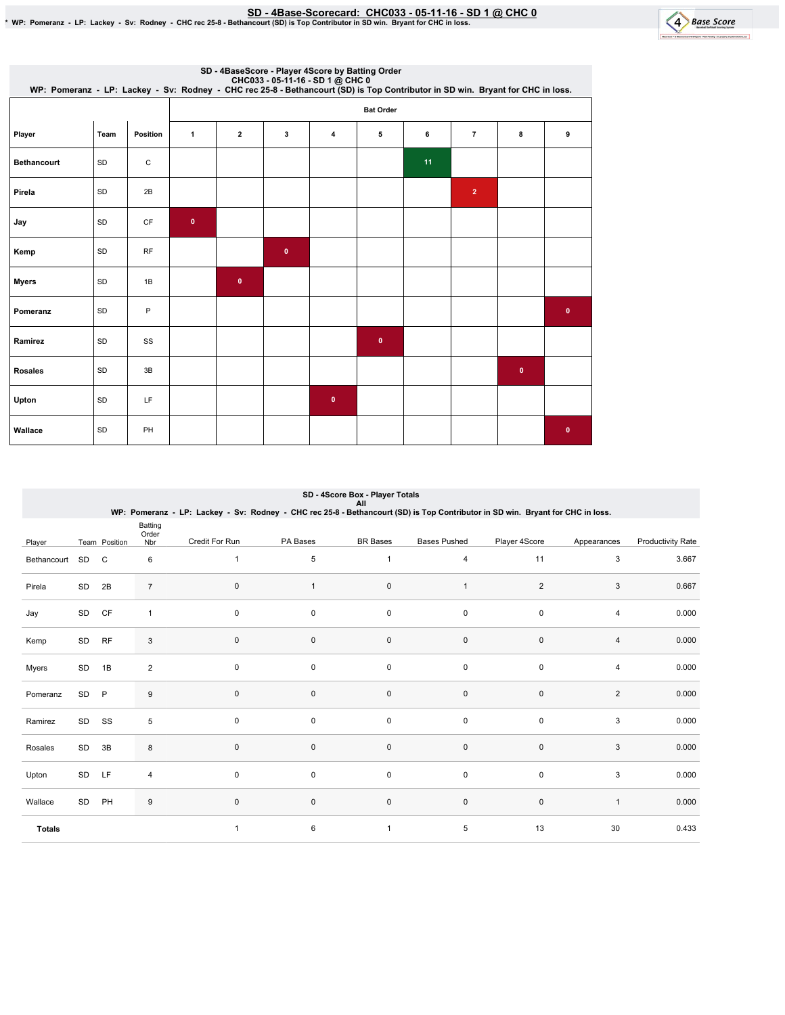SD - 4Base-Scorecard: CHC033 - 05-11-16 - SD 1 @ CHC 0 ي SD - 4Base-Scorecard: CHC033 - 05-11-16 - SD 1 @ CHC<br>\* WP: Pomeranz - LP: Lackey - Sv: Rodney - CHC rec 25-8 - Bethancourt (SD) is Top Contributor in SD win. Bryant



| CHC033 - 05-11-16 - SD 1 @ CHC 0<br>WP: Pomeranz - LP: Lackey - Sv: Rodney - CHC rec 25-8 - Bethancourt (SD) is Top Contributor in SD win. Bryant for CHC in loss. |      |           |              |                         |           | SD - 4BaseScore - Player 4Score by Batting Order |                  |    |                |             |             |
|--------------------------------------------------------------------------------------------------------------------------------------------------------------------|------|-----------|--------------|-------------------------|-----------|--------------------------------------------------|------------------|----|----------------|-------------|-------------|
|                                                                                                                                                                    |      |           |              |                         |           |                                                  | <b>Bat Order</b> |    |                |             |             |
| Player                                                                                                                                                             | Team | Position  | $\mathbf{1}$ | $\overline{\mathbf{2}}$ | 3         | $\overline{\bf{4}}$                              | 5                | 6  | $\overline{7}$ | 8           | 9           |
| <b>Bethancourt</b>                                                                                                                                                 | SD   | C         |              |                         |           |                                                  |                  | 11 |                |             |             |
| Pirela                                                                                                                                                             | SD   | 2B        |              |                         |           |                                                  |                  |    | $\overline{2}$ |             |             |
| Jay                                                                                                                                                                | SD   | <b>CF</b> | $\mathbf 0$  |                         |           |                                                  |                  |    |                |             |             |
| Kemp                                                                                                                                                               | SD   | <b>RF</b> |              |                         | $\pmb{0}$ |                                                  |                  |    |                |             |             |
| <b>Myers</b>                                                                                                                                                       | SD   | 1B        |              | $\pmb{0}$               |           |                                                  |                  |    |                |             |             |
| Pomeranz                                                                                                                                                           | SD   | P         |              |                         |           |                                                  |                  |    |                |             | $\mathbf 0$ |
| Ramirez                                                                                                                                                            | SD   | SS        |              |                         |           |                                                  | $\pmb{0}$        |    |                |             |             |
| <b>Rosales</b>                                                                                                                                                     | SD   | 3B        |              |                         |           |                                                  |                  |    |                | $\mathbf 0$ |             |
| Upton                                                                                                                                                              | SD   | LF        |              |                         |           | $\pmb{0}$                                        |                  |    |                |             |             |
| Wallace                                                                                                                                                            | SD   | PH        |              |                         |           |                                                  |                  |    |                |             | $\bullet$   |

| SD - 4Score Box - Player Totals |  |
|---------------------------------|--|
| All                             |  |

|               |       |               |                         | WP: Pomeranz - LP: Lackey - Sv: Rodney - CHC rec 25-8 - Bethancourt (SD) is Top Contributor in SD win. Bryant for CHC in loss. |          |                 |                     |                |                         |                   |
|---------------|-------|---------------|-------------------------|--------------------------------------------------------------------------------------------------------------------------------|----------|-----------------|---------------------|----------------|-------------------------|-------------------|
| Player        |       | Team Position | Batting<br>Order<br>Nbr | Credit For Run                                                                                                                 | PA Bases | <b>BR</b> Bases | <b>Bases Pushed</b> | Player 4Score  | Appearances             | Productivity Rate |
| Bethancourt   | SD    | C             | 6                       | $\mathbf{1}$                                                                                                                   | 5        | 1               | 4                   | 11             | 3                       | 3.667             |
| Pirela        | SD    | 2B            | $\overline{7}$          | 0                                                                                                                              | 1        | 0               | $\mathbf{1}$        | $\overline{2}$ | 3                       | 0.667             |
| Jay           | SD    | CF            | $\mathbf{1}$            | 0                                                                                                                              | 0        | 0               | 0                   | 0              | 4                       | 0.000             |
| Kemp          | SD    | <b>RF</b>     | 3                       | 0                                                                                                                              | 0        | $\pmb{0}$       | $\pmb{0}$           | $\mathsf 0$    | $\overline{\mathbf{4}}$ | 0.000             |
| Myers         | SD    | 1B            | $\overline{2}$          | $\mathbf 0$                                                                                                                    | 0        | 0               | 0                   | 0              | 4                       | 0.000             |
| Pomeranz      | SD    | $\mathsf{P}$  | 9                       | $\mathbf 0$                                                                                                                    | 0        | $\pmb{0}$       | $\pmb{0}$           | $\mathbf 0$    | $\overline{2}$          | 0.000             |
| Ramirez       | SD SS |               | 5                       | $\mathbf 0$                                                                                                                    | 0        | $\pmb{0}$       | $\pmb{0}$           | $\mathsf 0$    | 3                       | 0.000             |
| Rosales       | SD    | 3B            | 8                       | $\mathsf 0$                                                                                                                    | 0        | $\pmb{0}$       | $\pmb{0}$           | $\mathsf 0$    | 3                       | 0.000             |
| Upton         | SD    | LF            | 4                       | $\mathbf 0$                                                                                                                    | 0        | $\pmb{0}$       | 0                   | 0              | 3                       | 0.000             |
| Wallace       | SD    | PH            | 9                       | $\mathbf 0$                                                                                                                    | 0        | $\pmb{0}$       | $\pmb{0}$           | $\mathsf 0$    | $\mathbf{1}$            | 0.000             |
| <b>Totals</b> |       |               |                         | 1                                                                                                                              | 6        | 1               | 5                   | 13             | 30                      | 0.433             |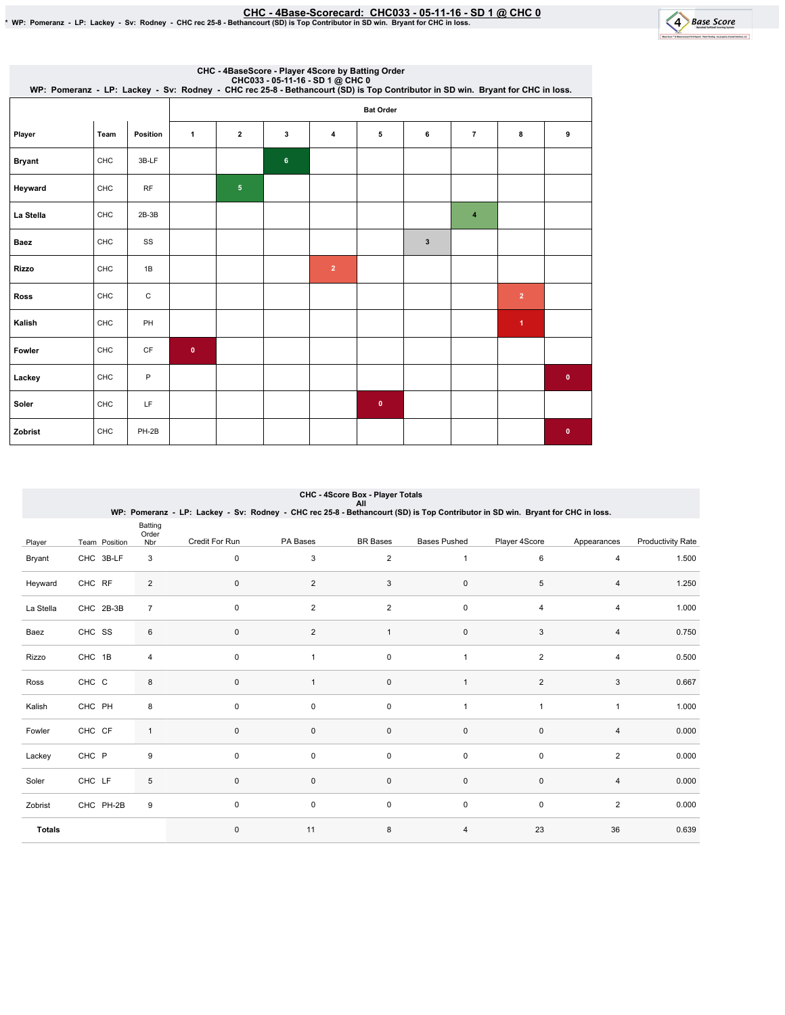## EMC - 4Base-Scorecard: CHC033 - 05-11-16 - SD 1 @ CHC 0 فكال CHC - 4Base-Scorecard: CHC033 - 05-11-16 - SD 1 @ CHC<br>\* WP: Pomeranz - LP: Lackey - Sv: Rodney - CHC rec 25-8 - Bethancourt (SD) is Top Contributor in SD win. Br

4 Base Score

mu.

| CHC033 - 05-11-16 - SD 1 @ CHC0<br>WP: Pomeranz - LP: Lackey - Sv: Rodney - CHC rec 25-8 - Bethancourt (SD) is Top Contributor in SD win. Bryant for CHC in loss. |      |           |              |                |                | CHC - 4BaseScore - Player 4Score by Batting Order |                  |              |                |                      |              |
|-------------------------------------------------------------------------------------------------------------------------------------------------------------------|------|-----------|--------------|----------------|----------------|---------------------------------------------------|------------------|--------------|----------------|----------------------|--------------|
|                                                                                                                                                                   |      |           |              |                |                |                                                   | <b>Bat Order</b> |              |                |                      |              |
| Player                                                                                                                                                            | Team | Position  | $\mathbf{1}$ | $\overline{2}$ | 3              | 4                                                 | 5                | 6            | $\overline{7}$ | 8                    | 9            |
| <b>Bryant</b>                                                                                                                                                     | CHC  | 3B-LF     |              |                | $6\phantom{a}$ |                                                   |                  |              |                |                      |              |
| Heyward                                                                                                                                                           | CHC  | <b>RF</b> |              | 5 <sup>5</sup> |                |                                                   |                  |              |                |                      |              |
| La Stella                                                                                                                                                         | CHC  | $2B-3B$   |              |                |                |                                                   |                  |              | $\overline{4}$ |                      |              |
| <b>Baez</b>                                                                                                                                                       | CHC  | SS        |              |                |                |                                                   |                  | $\mathbf{3}$ |                |                      |              |
| Rizzo                                                                                                                                                             | CHC  | 1B        |              |                |                | $\overline{2}$                                    |                  |              |                |                      |              |
| <b>Ross</b>                                                                                                                                                       | CHC  | C         |              |                |                |                                                   |                  |              |                | $\overline{2}$       |              |
| Kalish                                                                                                                                                            | CHC  | PH        |              |                |                |                                                   |                  |              |                | $\blacktriangleleft$ |              |
| Fowler                                                                                                                                                            | CHC  | CF        | $\bullet$    |                |                |                                                   |                  |              |                |                      |              |
| Lackey                                                                                                                                                            | CHC  | P         |              |                |                |                                                   |                  |              |                |                      | $\mathbf{0}$ |
| Soler                                                                                                                                                             | CHC  | LF.       |              |                |                |                                                   | $\mathbf 0$      |              |                |                      |              |
| Zobrist                                                                                                                                                           | CHC  | PH-2B     |              |                |                |                                                   |                  |              |                |                      | $\mathbf{0}$ |

## CHC - 4Score Box - Player Totals

|               |               |                         | WP: Pomeranz - LP: Lackey - Sv: Rodney - CHC rec 25-8 - Bethancourt (SD) is Top Contributor in SD win. Bryant for CHC in loss. |                         | All             |                     |                |                |                          |
|---------------|---------------|-------------------------|--------------------------------------------------------------------------------------------------------------------------------|-------------------------|-----------------|---------------------|----------------|----------------|--------------------------|
| Player        | Team Position | Batting<br>Order<br>Nbr | Credit For Run                                                                                                                 | PA Bases                | <b>BR</b> Bases | <b>Bases Pushed</b> | Player 4Score  | Appearances    | <b>Productivity Rate</b> |
| Bryant        | CHC 3B-LF     | 3                       | $\mathbf 0$                                                                                                                    | 3                       | 2               | $\mathbf{1}$        | 6              | 4              | 1.500                    |
| Heyward       | CHC RF        | $\overline{c}$          | $\mathbf 0$                                                                                                                    | 2                       | 3               | 0                   | 5              | 4              | 1.250                    |
| La Stella     | CHC 2B-3B     | $\overline{7}$          | $\mathbf 0$                                                                                                                    | 2                       | $\overline{2}$  | 0                   | 4              | 4              | 1.000                    |
| Baez          | CHC SS        | 6                       | $\mathbf 0$                                                                                                                    | $\overline{\mathbf{c}}$ | 1               | $\pmb{0}$           | 3              | 4              | 0.750                    |
| Rizzo         | CHC 1B        | 4                       | $\mathbf 0$                                                                                                                    | 1                       | $\pmb{0}$       | $\mathbf{1}$        | $\overline{2}$ | 4              | 0.500                    |
| Ross          | CHC C         | 8                       | $\pmb{0}$                                                                                                                      | 1                       | $\pmb{0}$       | $\mathbf{1}$        | $\overline{2}$ | 3              | 0.667                    |
| Kalish        | CHC PH        | 8                       | $\mathbf 0$                                                                                                                    | 0                       | 0               | 1                   | $\overline{1}$ | $\mathbf{1}$   | 1.000                    |
| Fowler        | CHC CF        | 1                       | $\mathbf 0$                                                                                                                    | 0                       | $\mathbf 0$     | 0                   | $\mathbf 0$    | 4              | 0.000                    |
| Lackey        | CHC P         | 9                       | $\mathbf 0$                                                                                                                    | 0                       | 0               | 0                   | 0              | $\overline{2}$ | 0.000                    |
| Soler         | CHC LF        | 5                       | $\mathbf 0$                                                                                                                    | 0                       | $\mathbf 0$     | 0                   | $\mathbf 0$    | 4              | 0.000                    |
| Zobrist       | CHC PH-2B     | 9                       | $\mathbf 0$                                                                                                                    | 0                       | 0               | 0                   | 0              | $\overline{c}$ | 0.000                    |
| <b>Totals</b> |               |                         | $\mathbf 0$                                                                                                                    | 11                      | 8               | 4                   | 23             | 36             | 0.639                    |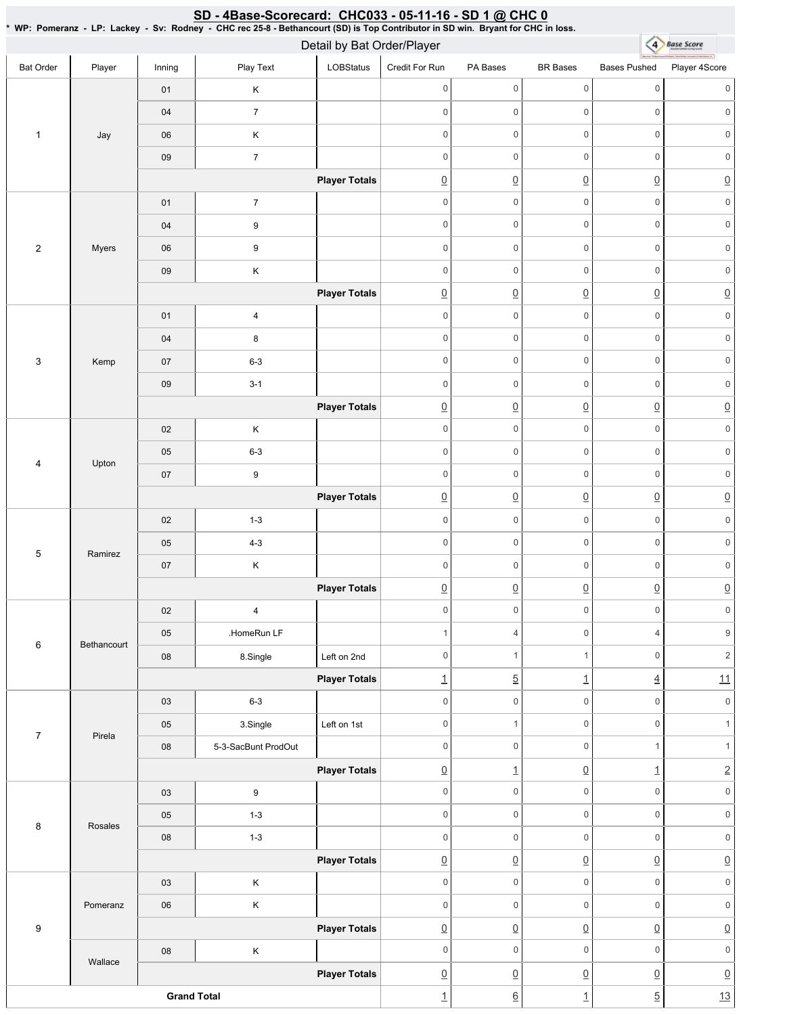| $\star$                   |             |                    | WP: Pomeranz - LP: Lackey - Sv: Rodney - CHC rec 25-8 - Bethancourt (SD) is Top Contributor in SD win. Bryant for CHC in loss. | Detail by Bat Order/Player |                  |                     |                          | $\left( 4 \right)$       | <b>Base Score</b>   |
|---------------------------|-------------|--------------------|--------------------------------------------------------------------------------------------------------------------------------|----------------------------|------------------|---------------------|--------------------------|--------------------------|---------------------|
| <b>Bat Order</b>          | Player      | Inning             | Play Text                                                                                                                      | LOBStatus                  | Credit For Run   | PA Bases            | <b>BR</b> Bases          | <b>Bases Pushed</b>      | Player 4Score       |
|                           |             | 01                 | Κ                                                                                                                              |                            | $\boldsymbol{0}$ | 0                   | $\mathsf{O}\xspace$      | $\mathbf 0$              | $\mathbf 0$         |
|                           |             | $04\,$             | $\boldsymbol{7}$                                                                                                               |                            | $\mathbf 0$      | $\boldsymbol{0}$    | $\mathsf 0$              | $\mathbf 0$              | 0                   |
| $\mathbf{1}$              | Jay         | 06                 | Κ                                                                                                                              |                            | $\mathbf 0$      | $\mathsf{O}\xspace$ | $\mathsf{O}\xspace$      | $\mathbf 0$              | $\mathbf 0$         |
|                           |             | $09\,$             | $\overline{\mathbf{7}}$                                                                                                        |                            | $\mathbf 0$      | $\mathsf 0$         | $\mathsf{O}\xspace$      | $\mathbf 0$              | $\mathsf{O}\xspace$ |
|                           |             |                    |                                                                                                                                | <b>Player Totals</b>       | $\underline{0}$  | $\underline{0}$     | $\underline{0}$          | $\underline{0}$          | $\underline{0}$     |
|                           |             | $01$               | $\boldsymbol{7}$                                                                                                               |                            | $\mathbf 0$      | 0                   | $\mathsf{O}\xspace$      | $\mathsf 0$              | $\mathsf{O}\xspace$ |
|                           |             | 04                 | $\boldsymbol{9}$                                                                                                               |                            | $\mathbf 0$      | $\mathsf{O}\xspace$ | $\mathsf 0$              | $\mathsf{O}\xspace$      | $\mathsf{O}\xspace$ |
| $\sqrt{2}$                | Myers       | 06                 | 9                                                                                                                              |                            | $\boldsymbol{0}$ | 0                   | $\mathsf{O}\xspace$      | $\mathbf 0$              | 0                   |
|                           |             | $09\,$             | Κ                                                                                                                              |                            | $\mathbf 0$      | $\mathsf{O}\xspace$ | $\mathsf 0$              | $\mathsf{O}\xspace$      | $\mathsf{O}\xspace$ |
|                           |             |                    |                                                                                                                                | <b>Player Totals</b>       | $\underline{0}$  | $\underline{0}$     | $\underline{0}$          | $\underline{0}$          | $\underline{0}$     |
|                           |             | 01                 | $\overline{\mathbf{4}}$                                                                                                        |                            | $\mathbf 0$      | $\mathsf{O}\xspace$ | $\mathsf{O}\xspace$      | $\mathbf 0$              | $\mathsf{O}\xspace$ |
|                           |             | $04\,$             | 8                                                                                                                              |                            | $\mathbf 0$      | 0                   | $\mathsf 0$              | $\mathsf{O}\xspace$      | $\mathsf{O}\xspace$ |
| $\ensuremath{\mathsf{3}}$ | Kemp        | 07                 | $6 - 3$                                                                                                                        |                            | $\mathbf 0$      | $\mathsf{O}\xspace$ | $\mathbf 0$              | $\mathbf 0$              | $\mathsf{O}$        |
|                           |             | $09\,$             | $3 - 1$                                                                                                                        |                            | $\mathbf 0$      | $\mathsf{O}\xspace$ | $\mathsf 0$              | $\mathsf{O}\xspace$      | $\mathsf{O}\xspace$ |
|                           |             |                    |                                                                                                                                | <b>Player Totals</b>       | $\underline{0}$  | $\underline{0}$     | $\underline{0}$          | $\underline{0}$          | $\underline{0}$     |
|                           |             | $02\,$             | Κ                                                                                                                              |                            | $\mathbf 0$      | $\mathsf{O}\xspace$ | $\mathsf 0$              | $\mathbf 0$              | $\mathsf{O}\xspace$ |
| $\overline{\mathbf{4}}$   | Upton       | 05                 | $6 - 3$                                                                                                                        |                            | $\mathbf 0$      | $\mathsf 0$         | $\mathsf 0$              | $\mathsf 0$              | $\mathbf 0$         |
|                           |             | $07\,$             | $\boldsymbol{9}$                                                                                                               |                            | $\mathbf 0$      | $\mathsf 0$         | $\mathsf{O}\xspace$      | $\mathsf{O}\xspace$      | $\mathsf{O}\xspace$ |
|                           |             |                    |                                                                                                                                | <b>Player Totals</b>       | $\underline{0}$  | $\underline{0}$     | $\underline{0}$          | $\underline{0}$          | $\underline{0}$     |
|                           |             | $02\,$             | $1 - 3$                                                                                                                        |                            | $\mathbf 0$      | $\mathsf 0$         | $\mathsf{O}\xspace$      | $\mathbf 0$              | $\mathsf{O}\xspace$ |
| $\mathbf 5$               | Ramirez     | $05\,$             | $4 - 3$                                                                                                                        |                            | $\mathbf 0$      | 0                   | $\mathsf 0$              | $\mathbf 0$              | 0                   |
|                           |             | 07                 | Κ                                                                                                                              |                            | $\mathbf 0$      | $\mathsf{O}\xspace$ | $\mathsf 0$              | $\mathbf 0$              | $\mathsf{O}\xspace$ |
|                           |             |                    |                                                                                                                                | <b>Player Totals</b>       | $\underline{0}$  | $\underline{0}$     | $\underline{0}$          | $\underline{0}$          | $\underline{0}$     |
|                           |             | $02\,$             | $\overline{\mathbf{4}}$                                                                                                        |                            | $\boldsymbol{0}$ | $\mathsf{O}\xspace$ | $\mathbf 0$              | $\,0\,$                  | $\mathsf{O}\xspace$ |
| $\,6\,$                   | Bethancourt | 05                 | .HomeRun LF                                                                                                                    |                            | $\overline{1}$   | $\overline{4}$      | $\mathsf{O}\xspace$      | $\overline{4}$           | $9\,$               |
|                           |             | ${\bf 08}$         | 8.Single                                                                                                                       | Left on 2nd                | $\mathbf 0$      | $\mathbf{1}$        | $\mathbf{1}$             | $\mathsf 0$              | $\overline{2}$      |
|                           |             |                    |                                                                                                                                | <b>Player Totals</b>       | $\overline{1}$   | $\overline{5}$      | $\overline{1}$           | $\underline{4}$          | 11                  |
|                           |             | 03                 | $6 - 3$                                                                                                                        |                            | $\mathbf 0$      | 0                   | $\mathsf 0$              | $\mathbf 0$              | $\mathsf{O}\xspace$ |
| $\overline{7}$            | Pirela      | 05                 | 3.Single                                                                                                                       | Left on 1st                | $\mathbf 0$      | $\mathbf{1}$        | $\mathsf{O}\xspace$      | $\mathsf{O}\xspace$      | $\mathbf{1}$        |
|                           |             | ${\bf 08}$         | 5-3-SacBunt ProdOut                                                                                                            |                            | $\mathbf 0$      | 0                   | $\mathsf{O}\xspace$      | $\mathbf{1}$             | $\mathbf{1}$        |
|                           |             |                    |                                                                                                                                | <b>Player Totals</b>       | $\underline{0}$  | $\overline{1}$      | $\underline{0}$          | $\underline{\mathbf{1}}$ | $\underline{2}$     |
|                           |             | 03                 | 9                                                                                                                              |                            | $\mathbf 0$      | 0                   | $\mathbf 0$              | $\mathsf 0$              | $\mathsf{O}\xspace$ |
| 8                         | Rosales     | 05                 | $1 - 3$                                                                                                                        |                            | $\mathbf 0$      | $\mathsf{O}\xspace$ | $\mathbf 0$              | $\mathsf{O}\xspace$      | $\mathsf{O}\xspace$ |
|                           |             | 08                 | $1 - 3$                                                                                                                        |                            | $\mathbf 0$      | $\mathsf{O}\xspace$ | $\mathbf 0$              | $\mathbf 0$              | $\mathsf{O}\xspace$ |
|                           |             |                    |                                                                                                                                | <b>Player Totals</b>       | $\underline{0}$  | $\underline{0}$     | $\underline{0}$          | $\underline{0}$          | $\underline{0}$     |
|                           |             | 03                 | Κ                                                                                                                              |                            | $\mathbf 0$      | $\mathsf 0$         | $\mathsf 0$              | $\mathbf 0$              | $\mathbf 0$         |
|                           | Pomeranz    | 06                 | Κ                                                                                                                              |                            | $\mathbf 0$      | $\mathsf{O}\xspace$ | $\mathsf 0$              | $\mathsf 0$              | $\mathsf{O}\xspace$ |
| $\boldsymbol{9}$          |             |                    |                                                                                                                                | <b>Player Totals</b>       | $\underline{0}$  | $\underline{0}$     | $\underline{0}$          | $\underline{0}$          | $\underline{0}$     |
|                           | Wallace     | 08                 | Κ                                                                                                                              |                            | $\mathbf 0$      | $\mathsf{O}\xspace$ | $\mathsf 0$              | $\mathsf 0$              | $\mathsf{O}$        |
|                           |             |                    |                                                                                                                                | <b>Player Totals</b>       | $\underline{0}$  | $\underline{0}$     | $\underline{0}$          | $\underline{0}$          | $\underline{0}$     |
|                           |             | <b>Grand Total</b> |                                                                                                                                |                            | $\overline{1}$   | $\underline{6}$     | $\underline{\mathbf{1}}$ | $\overline{5}$           | 13                  |

SD - 4Base-Scorecard: CHC033 - 05-11-16 - SD 1 @ CHC 0